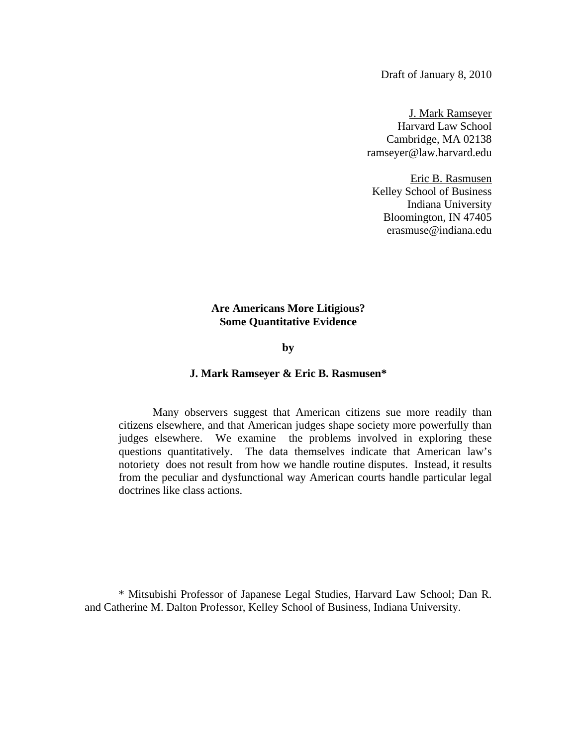Draft of January 8, 2010

J. Mark Ramseyer Harvard Law School Cambridge, MA 02138 ramseyer@law.harvard.edu

Eric B. Rasmusen Kelley School of Business Indiana University Bloomington, IN 47405 erasmuse@indiana.edu

# **Are Americans More Litigious? Some Quantitative Evidence**

### **by**

# **J. Mark Ramseyer & Eric B. Rasmusen\***

Many observers suggest that American citizens sue more readily than citizens elsewhere, and that American judges shape society more powerfully than judges elsewhere. We examine the problems involved in exploring these questions quantitatively. The data themselves indicate that American law's notoriety does not result from how we handle routine disputes. Instead, it results from the peculiar and dysfunctional way American courts handle particular legal doctrines like class actions.

\* Mitsubishi Professor of Japanese Legal Studies, Harvard Law School; Dan R. and Catherine M. Dalton Professor, Kelley School of Business, Indiana University.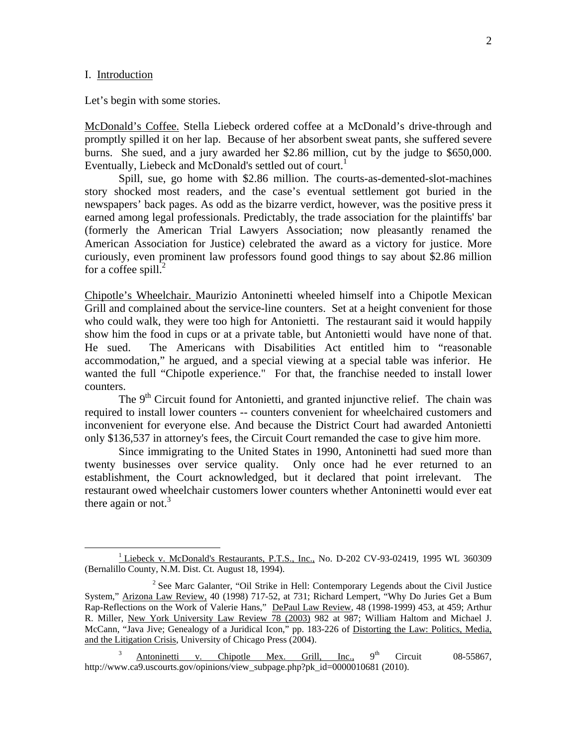### I. Introduction

Let's begin with some stories.

McDonald's Coffee. Stella Liebeck ordered coffee at a McDonald's drive-through and promptly spilled it on her lap. Because of her absorbent sweat pants, she suffered severe burns. She sued, and a jury awarded her \$2.86 million, cut by the judge to \$650,000. Eventually, Liebeck and McDonald's settled out of court.<sup>1</sup>

 Spill, sue, go home with \$2.86 million. The courts-as-demented-slot-machines story shocked most readers, and the case's eventual settlement got buried in the newspapers' back pages. As odd as the bizarre verdict, however, was the positive press it earned among legal professionals. Predictably, the trade association for the plaintiffs' bar (formerly the American Trial Lawyers Association; now pleasantly renamed the American Association for Justice) celebrated the award as a victory for justice. More curiously, even prominent law professors found good things to say about \$2.86 million for a coffee spill. $^{2}$ 

Chipotle's Wheelchair. Maurizio Antoninetti wheeled himself into a Chipotle Mexican Grill and complained about the service-line counters. Set at a height convenient for those who could walk, they were too high for Antonietti. The restaurant said it would happily show him the food in cups or at a private table, but Antonietti would have none of that. He sued. The Americans with Disabilities Act entitled him to "reasonable accommodation," he argued, and a special viewing at a special table was inferior. He wanted the full "Chipotle experience." For that, the franchise needed to install lower counters.

The  $9<sup>th</sup>$  Circuit found for Antonietti, and granted injunctive relief. The chain was required to install lower counters -- counters convenient for wheelchaired customers and inconvenient for everyone else. And because the District Court had awarded Antonietti only \$136,537 in attorney's fees, the Circuit Court remanded the case to give him more.

 Since immigrating to the United States in 1990, Antoninetti had sued more than twenty businesses over service quality. Only once had he ever returned to an establishment, the Court acknowledged, but it declared that point irrelevant. The restaurant owed wheelchair customers lower counters whether Antoninetti would ever eat there again or not.<sup>3</sup>

 $\frac{1}{1}$  $\frac{1}{2}$  Liebeck v. McDonald's Restaurants, P.T.S., Inc., No. D-202 CV-93-02419, 1995 WL 360309 (Bernalillo County, N.M. Dist. Ct. August 18, 1994).

 $2^2$  See Marc Galanter, "Oil Strike in Hell: Contemporary Legends about the Civil Justice System," Arizona Law Review, 40 (1998) 717-52, at 731; Richard Lempert, "Why Do Juries Get a Bum Rap-Reflections on the Work of Valerie Hans," DePaul Law Review, 48 (1998-1999) 453, at 459; Arthur R. Miller, New York University Law Review 78 (2003) 982 at 987; William Haltom and Michael J. McCann, "Java Jive; Genealogy of a Juridical Icon," pp. 183-226 of Distorting the Law: Politics, Media, and the Litigation Crisis, University of Chicago Press (2004).

Antoninetti v. Chipotle Mex. Grill, Inc.,  $9^{th}$  Circuit 08-55867, http://www.ca9.uscourts.gov/opinions/view\_subpage.php?pk\_id=0000010681 (2010).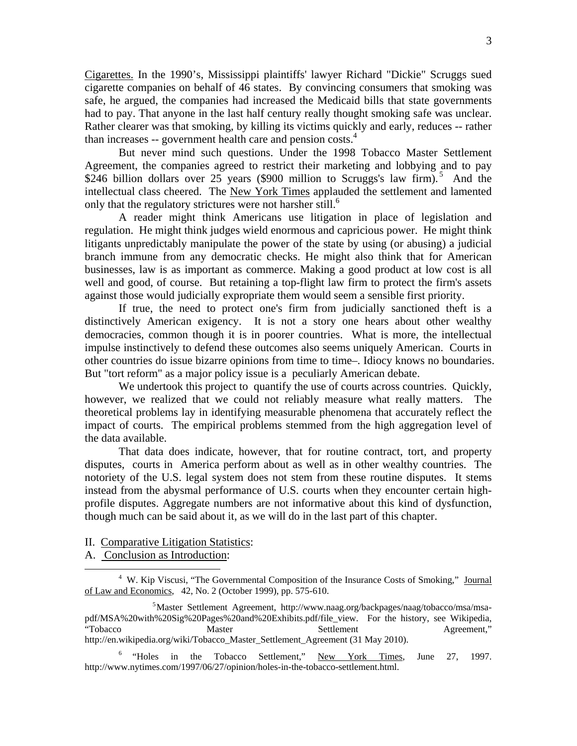Cigarettes. In the 1990's, Mississippi plaintiffs' lawyer Richard "Dickie" Scruggs sued cigarette companies on behalf of 46 states. By convincing consumers that smoking was safe, he argued, the companies had increased the Medicaid bills that state governments had to pay. That anyone in the last half century really thought smoking safe was unclear. Rather clearer was that smoking, by killing its victims quickly and early, reduces -- rather than increases -- government health care and pension costs.4

 But never mind such questions. Under the 1998 Tobacco Master Settlement Agreement, the companies agreed to restrict their marketing and lobbying and to pay \$246 billion dollars over 25 years (\$900 million to Scruggs's law firm).<sup>5</sup> And the intellectual class cheered. The New York Times applauded the settlement and lamented only that the regulatory strictures were not harsher still.<sup>6</sup>

 A reader might think Americans use litigation in place of legislation and regulation. He might think judges wield enormous and capricious power. He might think litigants unpredictably manipulate the power of the state by using (or abusing) a judicial branch immune from any democratic checks. He might also think that for American businesses, law is as important as commerce. Making a good product at low cost is all well and good, of course. But retaining a top-flight law firm to protect the firm's assets against those would judicially expropriate them would seem a sensible first priority.

 If true, the need to protect one's firm from judicially sanctioned theft is a distinctively American exigency. It is not a story one hears about other wealthy democracies, common though it is in poorer countries. What is more, the intellectual impulse instinctively to defend these outcomes also seems uniquely American. Courts in other countries do issue bizarre opinions from time to time–. Idiocy knows no boundaries. But "tort reform" as a major policy issue is a peculiarly American debate.

We undertook this project to quantify the use of courts across countries. Quickly, however, we realized that we could not reliably measure what really matters. The theoretical problems lay in identifying measurable phenomena that accurately reflect the impact of courts. The empirical problems stemmed from the high aggregation level of the data available.

 That data does indicate, however, that for routine contract, tort, and property disputes, courts in America perform about as well as in other wealthy countries. The notoriety of the U.S. legal system does not stem from these routine disputes. It stems instead from the abysmal performance of U.S. courts when they encounter certain highprofile disputes. Aggregate numbers are not informative about this kind of dysfunction, though much can be said about it, as we will do in the last part of this chapter.

II. Comparative Litigation Statistics:

A. Conclusion as Introduction:

 $\frac{1}{4}$ <sup>4</sup> W. Kip Viscusi, "The Governmental Composition of the Insurance Costs of Smoking," Journal of Law and Economics, 42, No. 2 (October 1999), pp. 575-610.

<sup>5</sup> Master Settlement Agreement, http://www.naag.org/backpages/naag/tobacco/msa/msapdf/MSA%20with%20Sig%20Pages%20and%20Exhibits.pdf/file\_view. For the history, see Wikipedia, "Tobacco Master Settlement Agreement," http://en.wikipedia.org/wiki/Tobacco\_Master\_Settlement\_Agreement (31 May 2010).

<sup>&</sup>lt;sup>6</sup> "Holes in the Tobacco Settlement," New York Times, June 27, 1997. http://www.nytimes.com/1997/06/27/opinion/holes-in-the-tobacco-settlement.html.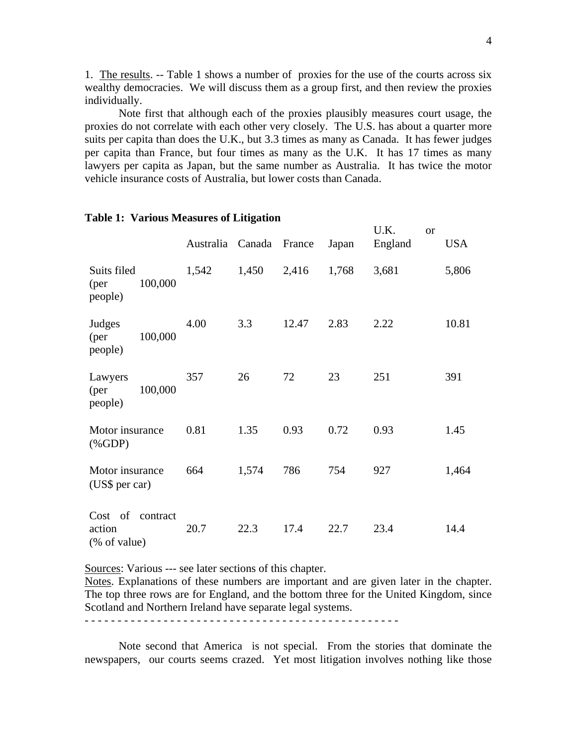1. The results. -- Table 1 shows a number of proxies for the use of the courts across six wealthy democracies. We will discuss them as a group first, and then review the proxies individually.

 Note first that although each of the proxies plausibly measures court usage, the proxies do not correlate with each other very closely. The U.S. has about a quarter more suits per capita than does the U.K., but 3.3 times as many as Canada. It has fewer judges per capita than France, but four times as many as the U.K. It has 17 times as many lawyers per capita as Japan, but the same number as Australia. It has twice the motor vehicle insurance costs of Australia, but lower costs than Canada.

|                                                                                         |         | Australia Canada |       | France | Japan | U.K.<br>England | <sub>or</sub> | <b>USA</b> |
|-----------------------------------------------------------------------------------------|---------|------------------|-------|--------|-------|-----------------|---------------|------------|
| Suits filed<br>(per<br>people)                                                          | 100,000 | 1,542            | 1,450 | 2,416  | 1,768 | 3,681           |               | 5,806      |
| Judges<br>(per<br>people)                                                               | 100,000 | 4.00             | 3.3   | 12.47  | 2.83  | 2.22            |               | 10.81      |
| Lawyers<br>(per<br>people)                                                              | 100,000 | 357              | 26    | 72     | 23    | 251             |               | 391        |
| Motor insurance<br>$(% \mathcal{L}_{0}^{\ast}(\mathcal{L}_{0})\otimes \mathcal{L}_{1})$ |         | 0.81             | 1.35  | 0.93   | 0.72  | 0.93            |               | 1.45       |
| Motor insurance<br>(US\$ per car)                                                       |         | 664              | 1,574 | 786    | 754   | 927             |               | 1,464      |
| Cost of contract<br>action<br>(% of value)                                              |         | 20.7             | 22.3  | 17.4   | 22.7  | 23.4            |               | 14.4       |

### **Table 1: Various Measures of Litigation**

Sources: Various --- see later sections of this chapter.

Notes. Explanations of these numbers are important and are given later in the chapter. The top three rows are for England, and the bottom three for the United Kingdom, since Scotland and Northern Ireland have separate legal systems.

- - - - - - - - - - - - - - - - - - - - - - - - - - - - - - - - - - - - - - - - - - - - - - - -

 Note second that America is not special. From the stories that dominate the newspapers, our courts seems crazed. Yet most litigation involves nothing like those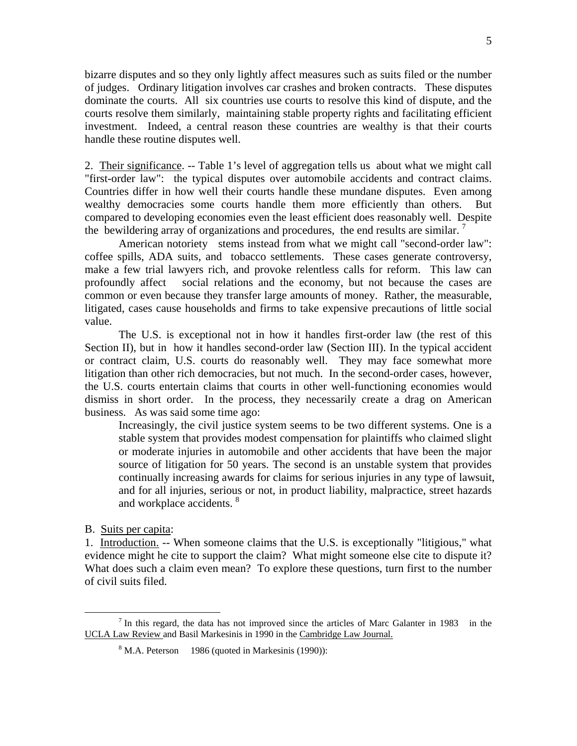bizarre disputes and so they only lightly affect measures such as suits filed or the number of judges. Ordinary litigation involves car crashes and broken contracts. These disputes dominate the courts. All six countries use courts to resolve this kind of dispute, and the courts resolve them similarly, maintaining stable property rights and facilitating efficient investment. Indeed, a central reason these countries are wealthy is that their courts handle these routine disputes well.

2. Their significance. -- Table 1's level of aggregation tells us about what we might call "first-order law": the typical disputes over automobile accidents and contract claims. Countries differ in how well their courts handle these mundane disputes. Even among wealthy democracies some courts handle them more efficiently than others. But compared to developing economies even the least efficient does reasonably well. Despite the bewildering array of organizations and procedures, the end results are similar.<sup>7</sup>

American notoriety stems instead from what we might call "second-order law": coffee spills, ADA suits, and tobacco settlements. These cases generate controversy, make a few trial lawyers rich, and provoke relentless calls for reform. This law can profoundly affect social relations and the economy, but not because the cases are common or even because they transfer large amounts of money. Rather, the measurable, litigated, cases cause households and firms to take expensive precautions of little social value.

The U.S. is exceptional not in how it handles first-order law (the rest of this Section II), but in how it handles second-order law (Section III). In the typical accident or contract claim, U.S. courts do reasonably well. They may face somewhat more litigation than other rich democracies, but not much. In the second-order cases, however, the U.S. courts entertain claims that courts in other well-functioning economies would dismiss in short order. In the process, they necessarily create a drag on American business. As was said some time ago:

Increasingly, the civil justice system seems to be two different systems. One is a stable system that provides modest compensation for plaintiffs who claimed slight or moderate injuries in automobile and other accidents that have been the major source of litigation for 50 years. The second is an unstable system that provides continually increasing awards for claims for serious injuries in any type of lawsuit, and for all injuries, serious or not, in product liability, malpractice, street hazards and workplace accidents.<sup>8</sup>

# B. Suits per capita:

1. Introduction. -- When someone claims that the U.S. is exceptionally "litigious," what evidence might he cite to support the claim? What might someone else cite to dispute it? What does such a claim even mean? To explore these questions, turn first to the number of civil suits filed.

 $\frac{1}{7}$ In this regard, the data has not improved since the articles of Marc Galanter in 1983 in the UCLA Law Review and Basil Markesinis in 1990 in the Cambridge Law Journal.

<sup>&</sup>lt;sup>8</sup> M.A. Peterson 1986 (quoted in Markesinis (1990)):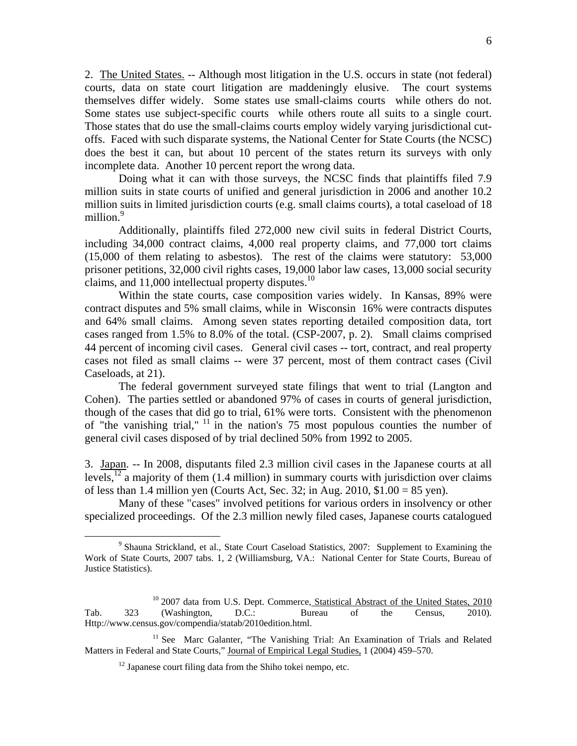2. The United States. -- Although most litigation in the U.S. occurs in state (not federal) courts, data on state court litigation are maddeningly elusive. The court systems themselves differ widely. Some states use small-claims courts while others do not. Some states use subject-specific courts while others route all suits to a single court. Those states that do use the small-claims courts employ widely varying jurisdictional cutoffs. Faced with such disparate systems, the National Center for State Courts (the NCSC) does the best it can, but about 10 percent of the states return its surveys with only incomplete data. Another 10 percent report the wrong data.

 Doing what it can with those surveys, the NCSC finds that plaintiffs filed 7.9 million suits in state courts of unified and general jurisdiction in 2006 and another 10.2 million suits in limited jurisdiction courts (e.g. small claims courts), a total caseload of 18 million.<sup>9</sup>

 Additionally, plaintiffs filed 272,000 new civil suits in federal District Courts, including 34,000 contract claims, 4,000 real property claims, and 77,000 tort claims (15,000 of them relating to asbestos). The rest of the claims were statutory: 53,000 prisoner petitions, 32,000 civil rights cases, 19,000 labor law cases, 13,000 social security claims, and  $11,000$  intellectual property disputes.<sup>10</sup>

 Within the state courts, case composition varies widely. In Kansas, 89% were contract disputes and 5% small claims, while in Wisconsin 16% were contracts disputes and 64% small claims. Among seven states reporting detailed composition data, tort cases ranged from 1.5% to 8.0% of the total. (CSP-2007, p. 2). Small claims comprised 44 percent of incoming civil cases. General civil cases -- tort, contract, and real property cases not filed as small claims -- were 37 percent, most of them contract cases (Civil Caseloads, at 21).

 The federal government surveyed state filings that went to trial (Langton and Cohen). The parties settled or abandoned 97% of cases in courts of general jurisdiction, though of the cases that did go to trial, 61% were torts. Consistent with the phenomenon of "the vanishing trial,"  $^{11}$  in the nation's 75 most populous counties the number of general civil cases disposed of by trial declined 50% from 1992 to 2005.

3. Japan. -- In 2008, disputants filed 2.3 million civil cases in the Japanese courts at all levels,  $^{12}$  a majority of them (1.4 million) in summary courts with jurisdiction over claims of less than 1.4 million yen (Courts Act, Sec. 32; in Aug. 2010, \$1.00 = 85 yen).

 Many of these "cases" involved petitions for various orders in insolvency or other specialized proceedings. Of the 2.3 million newly filed cases, Japanese courts catalogued

 $\begin{array}{c|c}\n\hline\n\end{array}$ <sup>9</sup> Shauna Strickland, et al., State Court Caseload Statistics, 2007: Supplement to Examining the Work of State Courts, 2007 tabs. 1, 2 (Williamsburg, VA.: National Center for State Courts, Bureau of Justice Statistics).

<sup>&</sup>lt;sup>10</sup> 2007 data from U.S. Dept. Commerce, Statistical Abstract of the United States, 2010 Tab. 323 (Washington, D.C.: Bureau of the Census, 2010). Http://www.census.gov/compendia/statab/2010edition.html.

<sup>&</sup>lt;sup>11</sup> See Marc Galanter, "The Vanishing Trial: An Examination of Trials and Related Matters in Federal and State Courts," Journal of Empirical Legal Studies, 1 (2004) 459–570.

 $12$  Japanese court filing data from the Shiho tokei nempo, etc.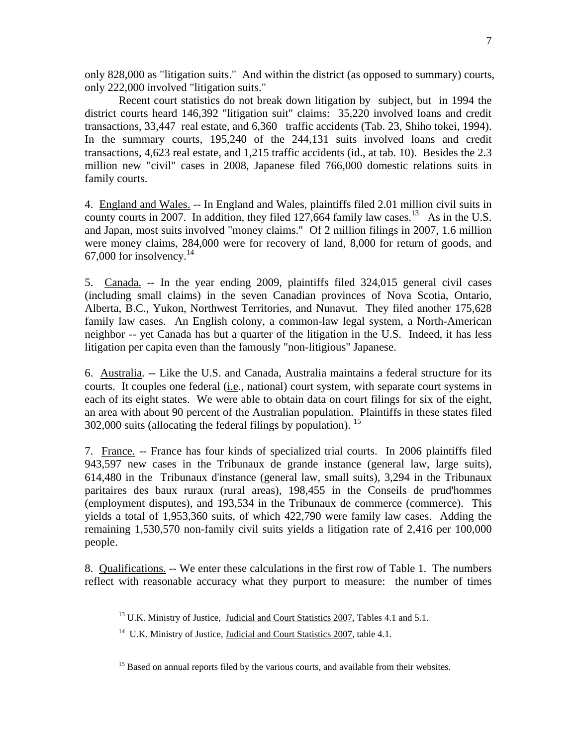only 828,000 as "litigation suits." And within the district (as opposed to summary) courts, only 222,000 involved "litigation suits."

 Recent court statistics do not break down litigation by subject, but in 1994 the district courts heard 146,392 "litigation suit" claims: 35,220 involved loans and credit transactions, 33,447 real estate, and 6,360 traffic accidents (Tab. 23, Shiho tokei, 1994). In the summary courts, 195,240 of the 244,131 suits involved loans and credit transactions, 4,623 real estate, and 1,215 traffic accidents (id., at tab. 10). Besides the 2.3 million new "civil" cases in 2008, Japanese filed 766,000 domestic relations suits in family courts.

4. England and Wales. -- In England and Wales, plaintiffs filed 2.01 million civil suits in county courts in 2007. In addition, they filed 127,664 family law cases.<sup>13</sup> As in the U.S. and Japan, most suits involved "money claims." Of 2 million filings in 2007, 1.6 million were money claims, 284,000 were for recovery of land, 8,000 for return of goods, and 67,000 for insolvency.<sup>14</sup>

5. Canada. -- In the year ending 2009, plaintiffs filed 324,015 general civil cases (including small claims) in the seven Canadian provinces of Nova Scotia, Ontario, Alberta, B.C., Yukon, Northwest Territories, and Nunavut. They filed another 175,628 family law cases. An English colony, a common-law legal system, a North-American neighbor -- yet Canada has but a quarter of the litigation in the U.S. Indeed, it has less litigation per capita even than the famously "non-litigious" Japanese.

6. Australia. -- Like the U.S. and Canada, Australia maintains a federal structure for its courts. It couples one federal (i.e., national) court system, with separate court systems in each of its eight states. We were able to obtain data on court filings for six of the eight, an area with about 90 percent of the Australian population. Plaintiffs in these states filed 302,000 suits (allocating the federal filings by population). 15

7. France. -- France has four kinds of specialized trial courts. In 2006 plaintiffs filed 943,597 new cases in the Tribunaux de grande instance (general law, large suits), 614,480 in the Tribunaux d'instance (general law, small suits), 3,294 in the Tribunaux paritaires des baux ruraux (rural areas), 198,455 in the Conseils de prud'hommes (employment disputes), and 193,534 in the Tribunaux de commerce (commerce). This yields a total of 1,953,360 suits, of which 422,790 were family law cases. Adding the remaining 1,530,570 non-family civil suits yields a litigation rate of 2,416 per 100,000 people.

8. Qualifications. -- We enter these calculations in the first row of Table 1. The numbers reflect with reasonable accuracy what they purport to measure: the number of times

 <sup>13</sup> U.K. Ministry of Justice*,* Judicial and Court Statistics 2007, Tables 4.1 and 5.1.

<sup>&</sup>lt;sup>14</sup> U.K. Ministry of Justice, Judicial and Court Statistics  $2007$ , table 4.1.

<sup>&</sup>lt;sup>15</sup> Based on annual reports filed by the various courts, and available from their websites.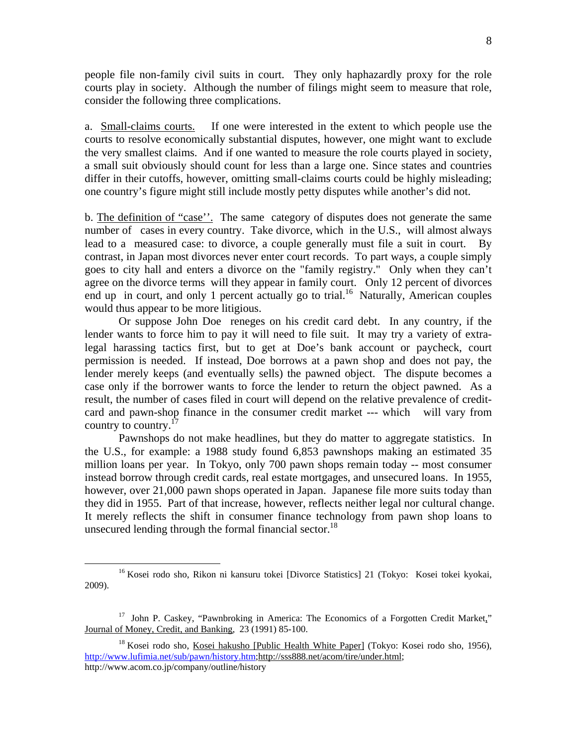people file non-family civil suits in court. They only haphazardly proxy for the role courts play in society. Although the number of filings might seem to measure that role, consider the following three complications.

a. Small-claims courts. If one were interested in the extent to which people use the courts to resolve economically substantial disputes, however, one might want to exclude the very smallest claims. And if one wanted to measure the role courts played in society, a small suit obviously should count for less than a large one. Since states and countries differ in their cutoffs, however, omitting small-claims courts could be highly misleading; one country's figure might still include mostly petty disputes while another's did not.

b. The definition of "case''. The same category of disputes does not generate the same number of cases in every country. Take divorce, which in the U.S., will almost always lead to a measured case: to divorce, a couple generally must file a suit in court. By contrast, in Japan most divorces never enter court records. To part ways, a couple simply goes to city hall and enters a divorce on the "family registry." Only when they can't agree on the divorce terms will they appear in family court. Only 12 percent of divorces end up in court, and only 1 percent actually go to trial.<sup>16</sup> Naturally, American couples would thus appear to be more litigious.

 Or suppose John Doe reneges on his credit card debt. In any country, if the lender wants to force him to pay it will need to file suit. It may try a variety of extralegal harassing tactics first, but to get at Doe's bank account or paycheck, court permission is needed. If instead, Doe borrows at a pawn shop and does not pay, the lender merely keeps (and eventually sells) the pawned object. The dispute becomes a case only if the borrower wants to force the lender to return the object pawned. As a result, the number of cases filed in court will depend on the relative prevalence of creditcard and pawn-shop finance in the consumer credit market --- which will vary from country to country.<sup>1</sup>

 Pawnshops do not make headlines, but they do matter to aggregate statistics. In the U.S., for example: a 1988 study found 6,853 pawnshops making an estimated 35 million loans per year. In Tokyo, only 700 pawn shops remain today -- most consumer instead borrow through credit cards, real estate mortgages, and unsecured loans. In 1955, however, over 21,000 pawn shops operated in Japan. Japanese file more suits today than they did in 1955. Part of that increase, however, reflects neither legal nor cultural change. It merely reflects the shift in consumer finance technology from pawn shop loans to unsecured lending through the formal financial sector.<sup>18</sup>

<sup>&</sup>lt;sup>16</sup> Kosei rodo sho, Rikon ni kansuru tokei [Divorce Statistics] 21 (Tokyo: Kosei tokei kyokai, 2009).

<sup>&</sup>lt;sup>17</sup> John P. Caskey, "Pawnbroking in America: The Economics of a Forgotten Credit Market," Journal of Money, Credit, and Banking, 23 (1991) 85-100.

<sup>18</sup> Kosei rodo sho, Kosei hakusho [Public Health White Paper] (Tokyo: Kosei rodo sho, 1956)*,* http://www.lufimia.net/sub/pawn/history.htm;http://sss888.net/acom/tire/under.html; http://www.acom.co.jp/company/outline/history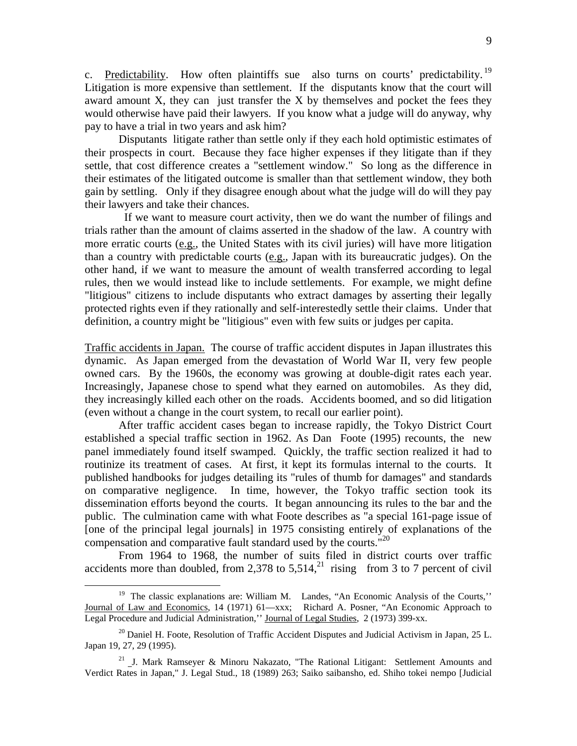c. Predictability. How often plaintiffs sue also turns on courts' predictability.<sup>19</sup> Litigation is more expensive than settlement. If the disputants know that the court will award amount X, they can just transfer the X by themselves and pocket the fees they would otherwise have paid their lawyers. If you know what a judge will do anyway, why pay to have a trial in two years and ask him?

Disputants litigate rather than settle only if they each hold optimistic estimates of their prospects in court. Because they face higher expenses if they litigate than if they settle, that cost difference creates a "settlement window." So long as the difference in their estimates of the litigated outcome is smaller than that settlement window, they both gain by settling. Only if they disagree enough about what the judge will do will they pay their lawyers and take their chances.

 If we want to measure court activity, then we do want the number of filings and trials rather than the amount of claims asserted in the shadow of the law. A country with more erratic courts  $(e.g., the United States with its civil juries)$  will have more litigation than a country with predictable courts (e.g., Japan with its bureaucratic judges). On the other hand, if we want to measure the amount of wealth transferred according to legal rules, then we would instead like to include settlements. For example, we might define "litigious" citizens to include disputants who extract damages by asserting their legally protected rights even if they rationally and self-interestedly settle their claims. Under that definition, a country might be "litigious" even with few suits or judges per capita.

Traffic accidents in Japan. The course of traffic accident disputes in Japan illustrates this dynamic. As Japan emerged from the devastation of World War II, very few people owned cars. By the 1960s, the economy was growing at double-digit rates each year. Increasingly, Japanese chose to spend what they earned on automobiles. As they did, they increasingly killed each other on the roads. Accidents boomed, and so did litigation (even without a change in the court system, to recall our earlier point).

After traffic accident cases began to increase rapidly, the Tokyo District Court established a special traffic section in 1962. As Dan Foote (1995) recounts, the new panel immediately found itself swamped. Quickly, the traffic section realized it had to routinize its treatment of cases. At first, it kept its formulas internal to the courts. It published handbooks for judges detailing its "rules of thumb for damages" and standards on comparative negligence. In time, however, the Tokyo traffic section took its dissemination efforts beyond the courts. It began announcing its rules to the bar and the public. The culmination came with what Foote describes as "a special 161-page issue of [one of the principal legal journals] in 1975 consisting entirely of explanations of the compensation and comparative fault standard used by the courts."<sup>20</sup>

From 1964 to 1968, the number of suits filed in district courts over traffic accidents more than doubled, from 2,378 to  $5.514$ ,<sup>21</sup> rising from 3 to 7 percent of civil

<sup>&</sup>lt;sup>19</sup> The classic explanations are: William M. Landes, "An Economic Analysis of the Courts," Journal of Law and Economics, 14 (1971) 61—xxx; Richard A. Posner, "An Economic Approach to Legal Procedure and Judicial Administration,'' Journal of Legal Studies, 2 (1973) 399-xx.

 $^{20}$  Daniel H. Foote, Resolution of Traffic Accident Disputes and Judicial Activism in Japan, 25 L. Japan 19, 27, 29 (1995).

<sup>&</sup>lt;sup>21</sup> J. Mark Ramseyer & Minoru Nakazato, "The Rational Litigant: Settlement Amounts and Verdict Rates in Japan," J. Legal Stud., 18 (1989) 263; Saiko saibansho, ed. Shiho tokei nempo [Judicial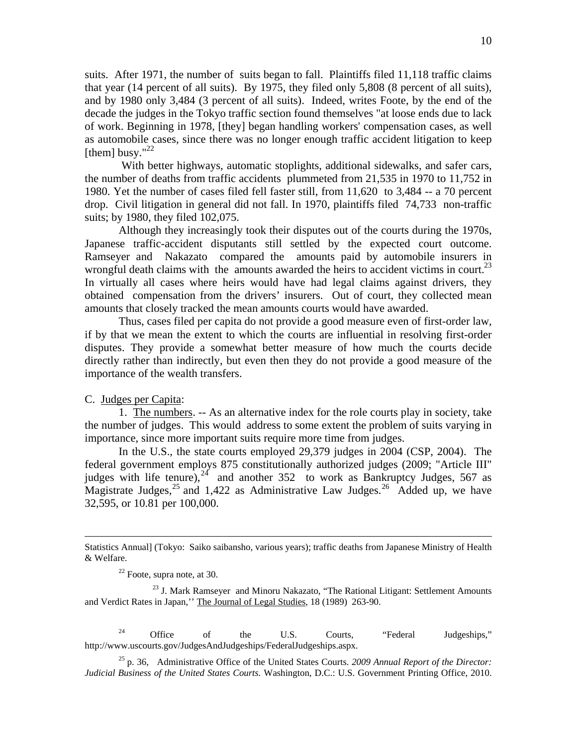suits. After 1971, the number of suits began to fall. Plaintiffs filed 11,118 traffic claims that year (14 percent of all suits). By 1975, they filed only 5,808 (8 percent of all suits), and by 1980 only 3,484 (3 percent of all suits). Indeed, writes Foote, by the end of the decade the judges in the Tokyo traffic section found themselves "at loose ends due to lack of work. Beginning in 1978, [they] began handling workers' compensation cases, as well as automobile cases, since there was no longer enough traffic accident litigation to keep [them] busy." $^{22}$ 

 With better highways, automatic stoplights, additional sidewalks, and safer cars, the number of deaths from traffic accidents plummeted from 21,535 in 1970 to 11,752 in 1980. Yet the number of cases filed fell faster still, from 11,620 to 3,484 -- a 70 percent drop. Civil litigation in general did not fall. In 1970, plaintiffs filed 74,733 non-traffic suits; by 1980, they filed 102,075.

Although they increasingly took their disputes out of the courts during the 1970s, Japanese traffic-accident disputants still settled by the expected court outcome. Ramseyer and Nakazato compared the amounts paid by automobile insurers in wrongful death claims with the amounts awarded the heirs to accident victims in court.<sup>23</sup> In virtually all cases where heirs would have had legal claims against drivers, they obtained compensation from the drivers' insurers. Out of court, they collected mean amounts that closely tracked the mean amounts courts would have awarded.

Thus, cases filed per capita do not provide a good measure even of first-order law, if by that we mean the extent to which the courts are influential in resolving first-order disputes. They provide a somewhat better measure of how much the courts decide directly rather than indirectly, but even then they do not provide a good measure of the importance of the wealth transfers.

C. Judges per Capita:

 1. The numbers. -- As an alternative index for the role courts play in society, take the number of judges. This would address to some extent the problem of suits varying in importance, since more important suits require more time from judges.

 In the U.S., the state courts employed 29,379 judges in 2004 (CSP, 2004). The federal government employs 875 constitutionally authorized judges (2009; "Article III" judges with life tenure),  $24$  and another 352 to work as Bankruptcy Judges, 567 as Magistrate Judges,  $25$  and 1,422 as Administrative Law Judges.  $26$  Added up, we have 32,595, or 10.81 per 100,000.

 Statistics Annual] (Tokyo: Saiko saibansho, various years); traffic deaths from Japanese Ministry of Health & Welfare.

 $22$  Foote, supra note, at 30.

<sup>23</sup> J. Mark Ramseyer and Minoru Nakazato, "The Rational Litigant: Settlement Amounts and Verdict Rates in Japan,'' The Journal of Legal Studies, 18 (1989) 263-90.

<sup>24</sup> Office of the U.S. Courts, "Federal Judgeships," http://www.uscourts.gov/JudgesAndJudgeships/FederalJudgeships.aspx.

25 p. 36, Administrative Office of the United States Courts. *2009 Annual Report of the Director: Judicial Business of the United States Courts.* Washington, D.C.: U.S. Government Printing Office, 2010.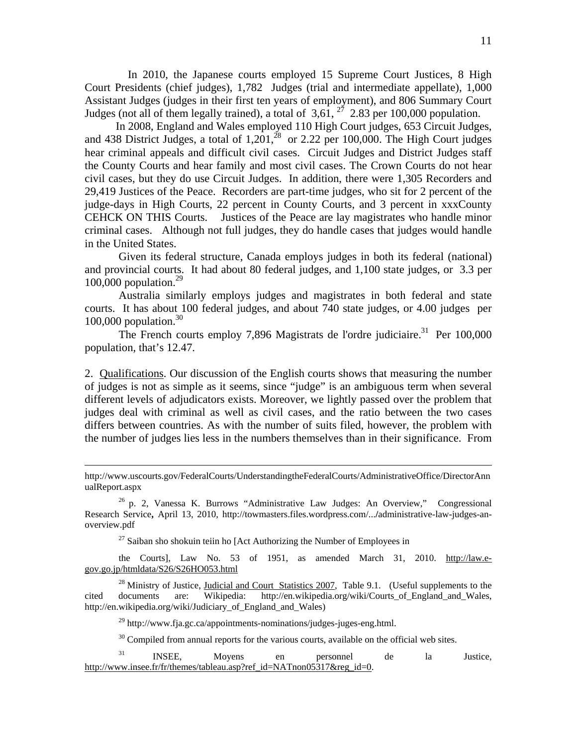In 2010, the Japanese courts employed 15 Supreme Court Justices, 8 High Court Presidents (chief judges), 1,782 Judges (trial and intermediate appellate), 1,000 Assistant Judges (judges in their first ten years of employment), and 806 Summary Court Judges (not all of them legally trained), a total of  $3,61$ ,  $^{27}$  2.83 per 100,000 population.

 In 2008, England and Wales employed 110 High Court judges, 653 Circuit Judges, and 438 District Judges, a total of  $1,201$ ,<sup>28</sup> or 2.22 per 100,000. The High Court judges hear criminal appeals and difficult civil cases. Circuit Judges and District Judges staff the County Courts and hear family and most civil cases. The Crown Courts do not hear civil cases, but they do use Circuit Judges. In addition, there were 1,305 Recorders and 29,419 Justices of the Peace. Recorders are part-time judges, who sit for 2 percent of the judge-days in High Courts, 22 percent in County Courts, and 3 percent in xxxCounty CEHCK ON THIS Courts. Justices of the Peace are lay magistrates who handle minor criminal cases. Although not full judges, they do handle cases that judges would handle in the United States.

 Given its federal structure, Canada employs judges in both its federal (national) and provincial courts. It had about 80 federal judges, and 1,100 state judges, or 3.3 per 100,000 population.<sup>29</sup>

 Australia similarly employs judges and magistrates in both federal and state courts. It has about 100 federal judges, and about 740 state judges, or 4.00 judges per 100,000 population. $30$ 

The French courts employ 7,896 Magistrats de l'ordre judiciaire.<sup>31</sup> Per 100,000 population, that's 12.47.

2. Qualifications. Our discussion of the English courts shows that measuring the number of judges is not as simple as it seems, since "judge" is an ambiguous term when several different levels of adjudicators exists. Moreover, we lightly passed over the problem that judges deal with criminal as well as civil cases, and the ratio between the two cases differs between countries. As with the number of suits filed, however, the problem with the number of judges lies less in the numbers themselves than in their significance. From

 $27$  Saiban sho shokuin teiin ho [Act Authorizing the Number of Employees in

the Courts], Law No. 53 of 1951, as amended March 31, 2010. http://law.egov.go.jp/htmldata/S26/S26HO053.html

<sup>28</sup> Ministry of Justice, Judicial and Court Statistics 2007, Table 9.1. (Useful supplements to the cited documents are: Wikipedia: http://en.wikipedia.org/wiki/Courts\_of\_England\_and\_Wales, http://en.wikipedia.org/wiki/Judiciary\_of\_England\_and\_Wales)

 $^{29}$  http://www.fja.gc.ca/appointments-nominations/judges-juges-eng.html.

 $30$  Compiled from annual reports for the various courts, available on the official web sites.

<sup>31</sup> INSEE, Moyens en personnel de la Justice, http://www.insee.fr/fr/themes/tableau.asp?ref\_id=NATnon05317&reg\_id=0.

http://www.uscourts.gov/FederalCourts/UnderstandingtheFederalCourts/AdministrativeOffice/DirectorAnn ualReport.aspx

 $26$  p. 2, Vanessa K. Burrows "Administrative Law Judges: An Overview," Congressional Research Service**,** April 13, 2010, http://towmasters.files.wordpress.com/...**/**administrative-law-judges-anoverview.pdf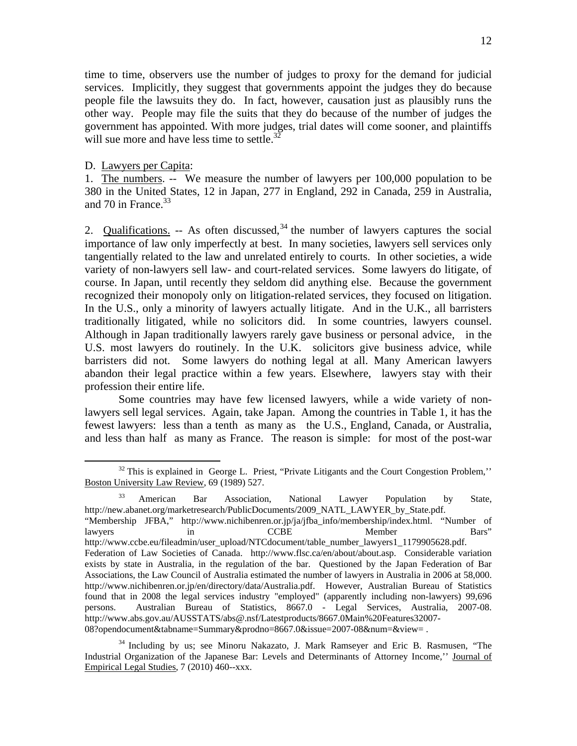time to time, observers use the number of judges to proxy for the demand for judicial services. Implicitly, they suggest that governments appoint the judges they do because people file the lawsuits they do. In fact, however, causation just as plausibly runs the other way. People may file the suits that they do because of the number of judges the government has appointed. With more judges, trial dates will come sooner, and plaintiffs will sue more and have less time to settle.<sup>32</sup>

# D. Lawyers per Capita:

1. The numbers. -- We measure the number of lawyers per 100,000 population to be 380 in the United States, 12 in Japan, 277 in England, 292 in Canada, 259 in Australia, and 70 in France.<sup>33</sup>

2. Qualifications. -- As often discussed,  $34$  the number of lawyers captures the social importance of law only imperfectly at best. In many societies, lawyers sell services only tangentially related to the law and unrelated entirely to courts. In other societies, a wide variety of non-lawyers sell law- and court-related services. Some lawyers do litigate, of course. In Japan, until recently they seldom did anything else. Because the government recognized their monopoly only on litigation-related services, they focused on litigation. In the U.S., only a minority of lawyers actually litigate. And in the U.K., all barristers traditionally litigated, while no solicitors did. In some countries, lawyers counsel. Although in Japan traditionally lawyers rarely gave business or personal advice, in the U.S. most lawyers do routinely. In the U.K. solicitors give business advice, while barristers did not. Some lawyers do nothing legal at all. Many American lawyers abandon their legal practice within a few years. Elsewhere, lawyers stay with their profession their entire life.

 Some countries may have few licensed lawyers, while a wide variety of nonlawyers sell legal services. Again, take Japan. Among the countries in Table 1, it has the fewest lawyers: less than a tenth as many as the U.S., England, Canada, or Australia, and less than half as many as France. The reason is simple: for most of the post-war

<sup>33</sup> American Bar Association, National Lawyer Population by State, http://new.abanet.org/marketresearch/PublicDocuments/2009\_NATL\_LAWYER\_by\_State.pdf. "Membership JFBA," http://www.nichibenren.or.jp/ja/jfba\_info/membership/index.html. "Number of lawyers in CCBE Member Bars" http://www.ccbe.eu/fileadmin/user\_upload/NTCdocument/table\_number\_lawyers1\_1179905628.pdf. Federation of Law Societies of Canada. http://www.flsc.ca/en/about/about.asp. Considerable variation exists by state in Australia, in the regulation of the bar. Questioned by the Japan Federation of Bar Associations, the Law Council of Australia estimated the number of lawyers in Australia in 2006 at 58,000. http://www.nichibenren.or.jp/en/directory/data/Australia.pdf. However, Australian Bureau of Statistics found that in 2008 the legal services industry "employed" (apparently including non-lawyers) 99,696<br>persons. Australian Bureau of Statistics, 8667.0 - Legal Services, Australia, 2007-08. persons. Australian Bureau of Statistics, 8667.0 - Legal Services, Australia, 2007-08. http://www.abs.gov.au/AUSSTATS/abs@.nsf/Latestproducts/8667.0Main%20Features32007- 08?opendocument&tabname=Summary&prodno=8667.0&issue=2007-08&num=&view= .

<sup>&</sup>lt;sup>32</sup> This is explained in George L. Priest, "Private Litigants and the Court Congestion Problem," Boston University Law Review, 69 (1989) 527.

<sup>34</sup> Including by us; see Minoru Nakazato, J. Mark Ramseyer and Eric B. Rasmusen, "The Industrial Organization of the Japanese Bar: Levels and Determinants of Attorney Income,'' Journal of Empirical Legal Studies, 7 (2010) 460--xxx.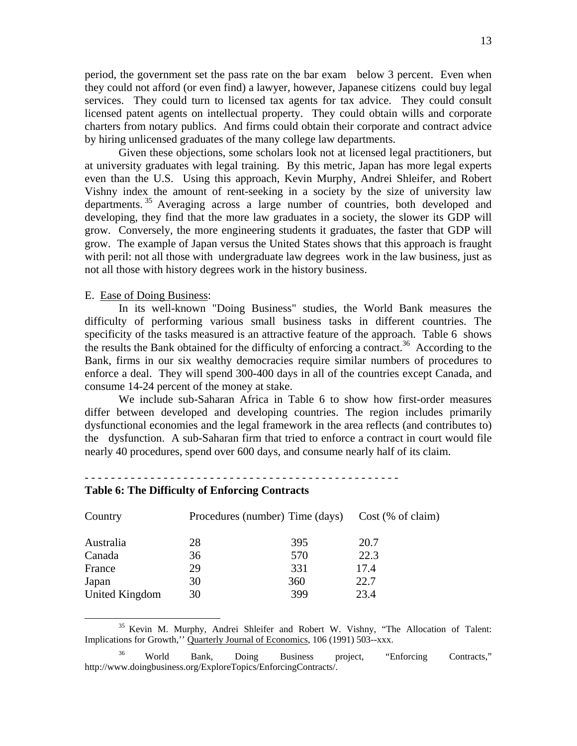13

period, the government set the pass rate on the bar exam below 3 percent. Even when they could not afford (or even find) a lawyer, however, Japanese citizens could buy legal services. They could turn to licensed tax agents for tax advice. They could consult licensed patent agents on intellectual property. They could obtain wills and corporate charters from notary publics. And firms could obtain their corporate and contract advice by hiring unlicensed graduates of the many college law departments.

 Given these objections, some scholars look not at licensed legal practitioners, but at university graduates with legal training. By this metric, Japan has more legal experts even than the U.S. Using this approach, Kevin Murphy, Andrei Shleifer, and Robert Vishny index the amount of rent-seeking in a society by the size of university law departments. 35 Averaging across a large number of countries, both developed and developing, they find that the more law graduates in a society, the slower its GDP will grow. Conversely, the more engineering students it graduates, the faster that GDP will grow. The example of Japan versus the United States shows that this approach is fraught with peril: not all those with undergraduate law degrees work in the law business, just as not all those with history degrees work in the history business.

# E. Ease of Doing Business:

 In its well-known "Doing Business" studies, the World Bank measures the difficulty of performing various small business tasks in different countries. The specificity of the tasks measured is an attractive feature of the approach. Table 6 shows the results the Bank obtained for the difficulty of enforcing a contract.<sup>36</sup> According to the Bank, firms in our six wealthy democracies require similar numbers of procedures to enforce a deal. They will spend 300-400 days in all of the countries except Canada, and consume 14-24 percent of the money at stake.

 We include sub-Saharan Africa in Table 6 to show how first-order measures differ between developed and developing countries. The region includes primarily dysfunctional economies and the legal framework in the area reflects (and contributes to) the dysfunction. A sub-Saharan firm that tried to enforce a contract in court would file nearly 40 procedures, spend over 600 days, and consume nearly half of its claim.

# - - - - - - - - - - - - - - - - - - - - - - - - - - - - - - - - - - - - - - - - - - - - - - - -

| Country        | Procedures (number) Time (days) Cost (% of claim) |     |      |
|----------------|---------------------------------------------------|-----|------|
| Australia      | 28                                                | 395 | 20.7 |
| Canada         | 36                                                | 570 | 22.3 |
| France         | 29                                                | 331 | 17.4 |
| Japan          | 30                                                | 360 | 22.7 |
| United Kingdom | 30                                                | 399 | 23.4 |

### **Table 6: The Difficulty of Enforcing Contracts**

 <sup>35</sup> Kevin M. Murphy, Andrei Shleifer and Robert W. Vishny, "The Allocation of Talent: Implications for Growth,'' Quarterly Journal of Economics, 106 (1991) 503--xxx.

<sup>36</sup> World Bank, Doing Business project, "Enforcing Contracts," http://www.doingbusiness.org/ExploreTopics/EnforcingContracts/.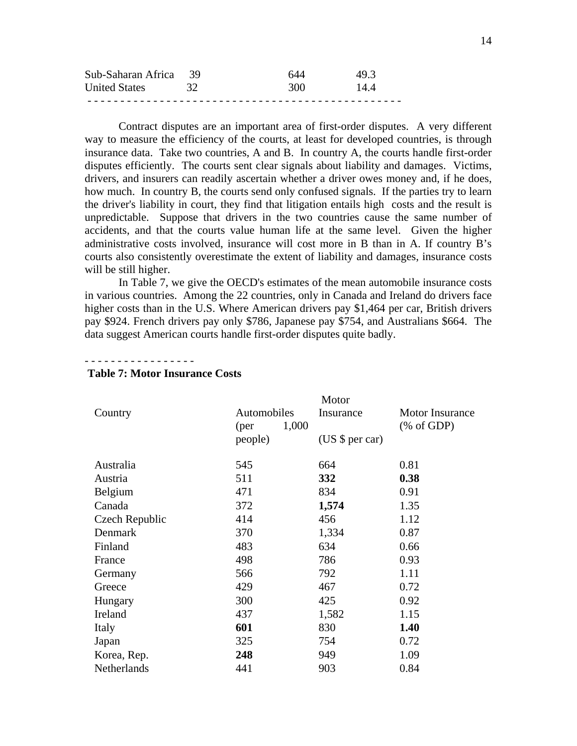| Sub-Saharan Africa 39 |       | 644 | 49.3 |
|-----------------------|-------|-----|------|
| <b>United States</b>  | - 32. | 300 | 144  |
|                       |       |     |      |

 Contract disputes are an important area of first-order disputes. A very different way to measure the efficiency of the courts, at least for developed countries, is through insurance data. Take two countries, A and B. In country A, the courts handle first-order disputes efficiently. The courts sent clear signals about liability and damages. Victims, drivers, and insurers can readily ascertain whether a driver owes money and, if he does, how much. In country B, the courts send only confused signals. If the parties try to learn the driver's liability in court, they find that litigation entails high costs and the result is unpredictable. Suppose that drivers in the two countries cause the same number of accidents, and that the courts value human life at the same level. Given the higher administrative costs involved, insurance will cost more in B than in A. If country B's courts also consistently overestimate the extent of liability and damages, insurance costs will be still higher.

 In Table 7, we give the OECD's estimates of the mean automobile insurance costs in various countries. Among the 22 countries, only in Canada and Ireland do drivers face higher costs than in the U.S. Where American drivers pay \$1,464 per car, British drivers pay \$924. French drivers pay only \$786, Japanese pay \$754, and Australians \$664. The data suggest American courts handle first-order disputes quite badly.

- - - - - - - - - - - - - - - - -

|                |                              | Motor            |                                                             |
|----------------|------------------------------|------------------|-------------------------------------------------------------|
| Country        | Automobiles<br>1,000<br>(per | Insurance        | Motor Insurance<br>$(% \mathcal{L}_{0}^{\infty}$ (% of GDP) |
|                | people)                      | (US $$$ per car) |                                                             |
| Australia      | 545                          | 664              | 0.81                                                        |
| Austria        | 511                          | 332              | 0.38                                                        |
| Belgium        | 471                          | 834              | 0.91                                                        |
| Canada         | 372                          | 1,574            | 1.35                                                        |
| Czech Republic | 414                          | 456              | 1.12                                                        |
| Denmark        | 370                          | 1,334            | 0.87                                                        |
| Finland        | 483                          | 634              | 0.66                                                        |
| France         | 498                          | 786              | 0.93                                                        |
| Germany        | 566                          | 792              | 1.11                                                        |
| Greece         | 429                          | 467              | 0.72                                                        |
| Hungary        | 300                          | 425              | 0.92                                                        |
| Ireland        | 437                          | 1,582            | 1.15                                                        |
| Italy          | 601                          | 830              | 1.40                                                        |
| Japan          | 325                          | 754              | 0.72                                                        |
| Korea, Rep.    | 248                          | 949              | 1.09                                                        |
| Netherlands    | 441                          | 903              | 0.84                                                        |

### **Table 7: Motor Insurance Costs**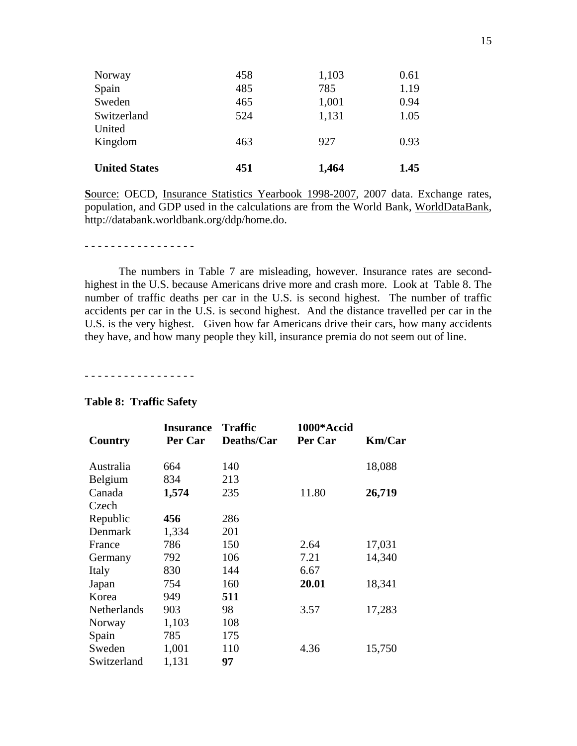| 451 | 1,464 | 1.45 |
|-----|-------|------|
| 463 | 927   | 0.93 |
|     |       |      |
| 524 | 1,131 | 1.05 |
| 465 | 1,001 | 0.94 |
| 485 | 785   | 1.19 |
| 458 | 1,103 | 0.61 |
|     |       |      |

**S**ource: OECD, Insurance Statistics Yearbook 1998-2007*,* 2007 data. Exchange rates, population, and GDP used in the calculations are from the World Bank, WorldDataBank, http://databank.worldbank.org/ddp/home.do.

#### - - - - - - - - - - - - - - - - -

 The numbers in Table 7 are misleading, however. Insurance rates are secondhighest in the U.S. because Americans drive more and crash more. Look at Table 8. The number of traffic deaths per car in the U.S. is second highest. The number of traffic accidents per car in the U.S. is second highest. And the distance travelled per car in the U.S. is the very highest. Given how far Americans drive their cars, how many accidents they have, and how many people they kill, insurance premia do not seem out of line.

- - - - - - - - - - - - - - - - -

| Country     | <b>Insurance</b><br>Per Car | <b>Traffic</b><br>Deaths/Car | 1000*Accid<br>Per Car | Km/Car |
|-------------|-----------------------------|------------------------------|-----------------------|--------|
| Australia   | 664                         | 140                          |                       | 18,088 |
| Belgium     | 834                         | 213                          |                       |        |
| Canada      | 1,574                       | 235                          | 11.80                 | 26,719 |
| Czech       |                             |                              |                       |        |
| Republic    | 456                         | 286                          |                       |        |
| Denmark     | 1,334                       | 201                          |                       |        |
| France      | 786                         | 150                          | 2.64                  | 17,031 |
| Germany     | 792                         | 106                          | 7.21                  | 14,340 |
| Italy       | 830                         | 144                          | 6.67                  |        |
| Japan       | 754                         | 160                          | 20.01                 | 18,341 |
| Korea       | 949                         | 511                          |                       |        |
| Netherlands | 903                         | 98                           | 3.57                  | 17,283 |
| Norway      | 1,103                       | 108                          |                       |        |
| Spain       | 785                         | 175                          |                       |        |
| Sweden      | 1,001                       | 110                          | 4.36                  | 15,750 |
| Switzerland | 1,131                       | 97                           |                       |        |

# **Table 8: Traffic Safety**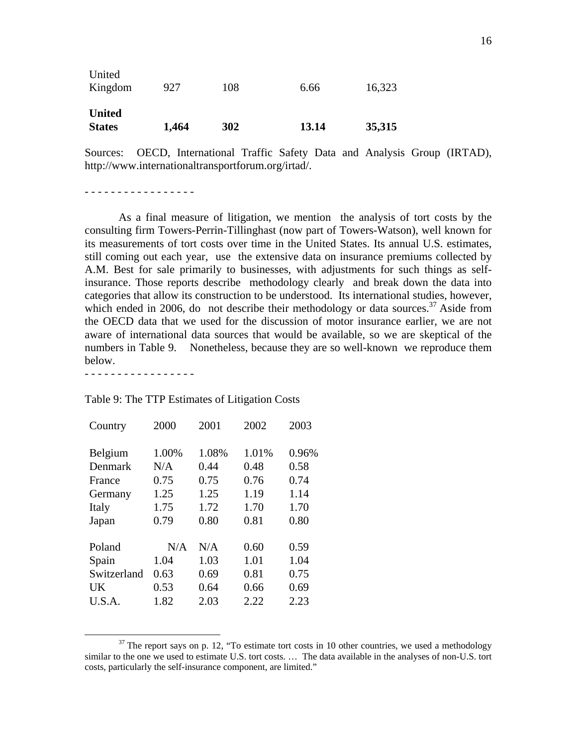| <b>United</b><br><b>States</b> | 1,464 | 302 | 13.14 | 35,315 |
|--------------------------------|-------|-----|-------|--------|
| United<br>Kingdom              | 927   | 108 | 6.66  | 16,323 |

Sources: OECD, International Traffic Safety Data and Analysis Group (IRTAD), http://www.internationaltransportforum.org/irtad/.

- - - - - - - - - - - - - - - - -

 As a final measure of litigation, we mention the analysis of tort costs by the consulting firm Towers-Perrin-Tillinghast (now part of Towers-Watson), well known for its measurements of tort costs over time in the United States. Its annual U.S. estimates, still coming out each year, use the extensive data on insurance premiums collected by A.M. Best for sale primarily to businesses, with adjustments for such things as selfinsurance. Those reports describe methodology clearly and break down the data into categories that allow its construction to be understood. Its international studies, however, which ended in 2006, do not describe their methodology or data sources.<sup>37</sup> Aside from the OECD data that we used for the discussion of motor insurance earlier, we are not aware of international data sources that would be available, so we are skeptical of the numbers in Table 9. Nonetheless, because they are so well-known we reproduce them below.

- - - - - - - - - - - - - - - - -

| Country     | 2000  | 2001  | 2002  | 2003  |
|-------------|-------|-------|-------|-------|
| Belgium     | 1.00% | 1.08% | 1.01% | 0.96% |
| Denmark     | N/A   | 0.44  | 0.48  | 0.58  |
| France      | 0.75  | 0.75  | 0.76  | 0.74  |
| Germany     | 1.25  | 1.25  | 1.19  | 1.14  |
| Italy       | 1.75  | 1.72  | 1.70  | 1.70  |
| Japan       | 0.79  | 0.80  | 0.81  | 0.80  |
| Poland      | N/A   | N/A   | 0.60  | 0.59  |
| Spain       | 1.04  | 1.03  | 1.01  | 1.04  |
| Switzerland | 0.63  | 0.69  | 0.81  | 0.75  |
| <b>UK</b>   | 0.53  | 0.64  | 0.66  | 0.69  |
| U.S.A.      | 1.82  | 2.03  | 2.22  | 2.23  |
|             |       |       |       |       |

### Table 9: The TTP Estimates of Litigation Costs

 $37$  The report says on p. 12, "To estimate tort costs in 10 other countries, we used a methodology similar to the one we used to estimate U.S. tort costs. … The data available in the analyses of non-U.S. tort costs, particularly the self-insurance component, are limited."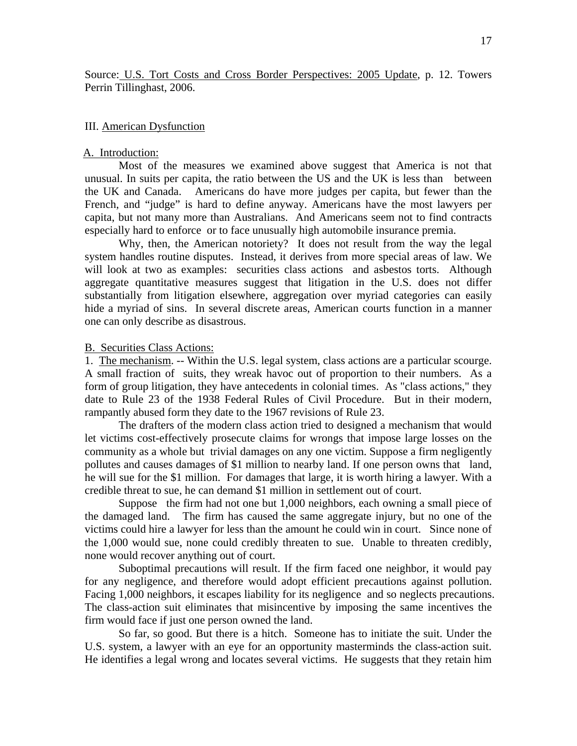Source: U.S. Tort Costs and Cross Border Perspectives: 2005 Update, p. 12. Towers Perrin Tillinghast, 2006.

### III. American Dysfunction

### A. Introduction:

 Most of the measures we examined above suggest that America is not that unusual. In suits per capita, the ratio between the US and the UK is less than between the UK and Canada. Americans do have more judges per capita, but fewer than the French, and "judge" is hard to define anyway. Americans have the most lawyers per capita, but not many more than Australians. And Americans seem not to find contracts especially hard to enforce or to face unusually high automobile insurance premia.

 Why, then, the American notoriety? It does not result from the way the legal system handles routine disputes. Instead, it derives from more special areas of law. We will look at two as examples: securities class actions and asbestos torts. Although aggregate quantitative measures suggest that litigation in the U.S. does not differ substantially from litigation elsewhere, aggregation over myriad categories can easily hide a myriad of sins. In several discrete areas, American courts function in a manner one can only describe as disastrous.

#### B. Securities Class Actions:

1. The mechanism. -- Within the U.S. legal system, class actions are a particular scourge. A small fraction of suits, they wreak havoc out of proportion to their numbers. As a form of group litigation, they have antecedents in colonial times. As "class actions," they date to Rule 23 of the 1938 Federal Rules of Civil Procedure. But in their modern, rampantly abused form they date to the 1967 revisions of Rule 23.

 The drafters of the modern class action tried to designed a mechanism that would let victims cost-effectively prosecute claims for wrongs that impose large losses on the community as a whole but trivial damages on any one victim. Suppose a firm negligently pollutes and causes damages of \$1 million to nearby land. If one person owns that land, he will sue for the \$1 million. For damages that large, it is worth hiring a lawyer. With a credible threat to sue, he can demand \$1 million in settlement out of court.

 Suppose the firm had not one but 1,000 neighbors, each owning a small piece of the damaged land. The firm has caused the same aggregate injury, but no one of the victims could hire a lawyer for less than the amount he could win in court. Since none of the 1,000 would sue, none could credibly threaten to sue. Unable to threaten credibly, none would recover anything out of court.

 Suboptimal precautions will result. If the firm faced one neighbor, it would pay for any negligence, and therefore would adopt efficient precautions against pollution. Facing 1,000 neighbors, it escapes liability for its negligence and so neglects precautions. The class-action suit eliminates that misincentive by imposing the same incentives the firm would face if just one person owned the land.

 So far, so good. But there is a hitch. Someone has to initiate the suit. Under the U.S. system, a lawyer with an eye for an opportunity masterminds the class-action suit. He identifies a legal wrong and locates several victims. He suggests that they retain him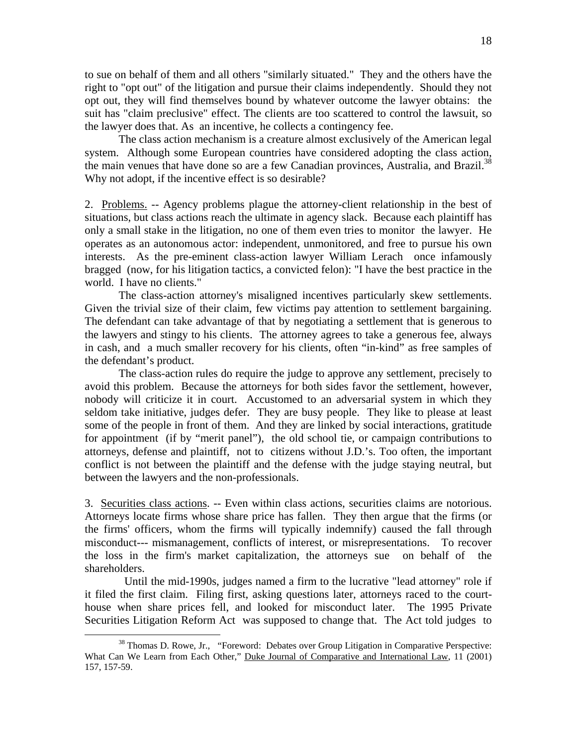to sue on behalf of them and all others "similarly situated." They and the others have the right to "opt out" of the litigation and pursue their claims independently. Should they not opt out, they will find themselves bound by whatever outcome the lawyer obtains: the suit has "claim preclusive" effect. The clients are too scattered to control the lawsuit, so the lawyer does that. As an incentive, he collects a contingency fee.

 The class action mechanism is a creature almost exclusively of the American legal system. Although some European countries have considered adopting the class action, the main venues that have done so are a few Canadian provinces, Australia, and Brazil.<sup>38</sup> Why not adopt, if the incentive effect is so desirable?

2. Problems. -- Agency problems plague the attorney-client relationship in the best of situations, but class actions reach the ultimate in agency slack. Because each plaintiff has only a small stake in the litigation, no one of them even tries to monitor the lawyer. He operates as an autonomous actor: independent, unmonitored, and free to pursue his own interests. As the pre-eminent class-action lawyer William Lerach once infamously bragged (now, for his litigation tactics, a convicted felon): "I have the best practice in the world. I have no clients."

 The class-action attorney's misaligned incentives particularly skew settlements. Given the trivial size of their claim, few victims pay attention to settlement bargaining. The defendant can take advantage of that by negotiating a settlement that is generous to the lawyers and stingy to his clients. The attorney agrees to take a generous fee, always in cash, and a much smaller recovery for his clients, often "in-kind" as free samples of the defendant's product.

 The class-action rules do require the judge to approve any settlement, precisely to avoid this problem. Because the attorneys for both sides favor the settlement, however, nobody will criticize it in court. Accustomed to an adversarial system in which they seldom take initiative, judges defer. They are busy people. They like to please at least some of the people in front of them. And they are linked by social interactions, gratitude for appointment (if by "merit panel"), the old school tie, or campaign contributions to attorneys, defense and plaintiff, not to citizens without J.D.'s. Too often, the important conflict is not between the plaintiff and the defense with the judge staying neutral, but between the lawyers and the non-professionals.

3. Securities class actions. -- Even within class actions, securities claims are notorious. Attorneys locate firms whose share price has fallen. They then argue that the firms (or the firms' officers, whom the firms will typically indemnify) caused the fall through misconduct--- mismanagement, conflicts of interest, or misrepresentations. To recover the loss in the firm's market capitalization, the attorneys sue on behalf of the shareholders.

 Until the mid-1990s, judges named a firm to the lucrative "lead attorney" role if it filed the first claim. Filing first, asking questions later, attorneys raced to the courthouse when share prices fell, and looked for misconduct later. The 1995 Private Securities Litigation Reform Act was supposed to change that. The Act told judges to

 <sup>38</sup> Thomas D. Rowe, Jr., "Foreword: Debates over Group Litigation in Comparative Perspective: What Can We Learn from Each Other," Duke Journal of Comparative and International Law, 11 (2001) 157, 157-59.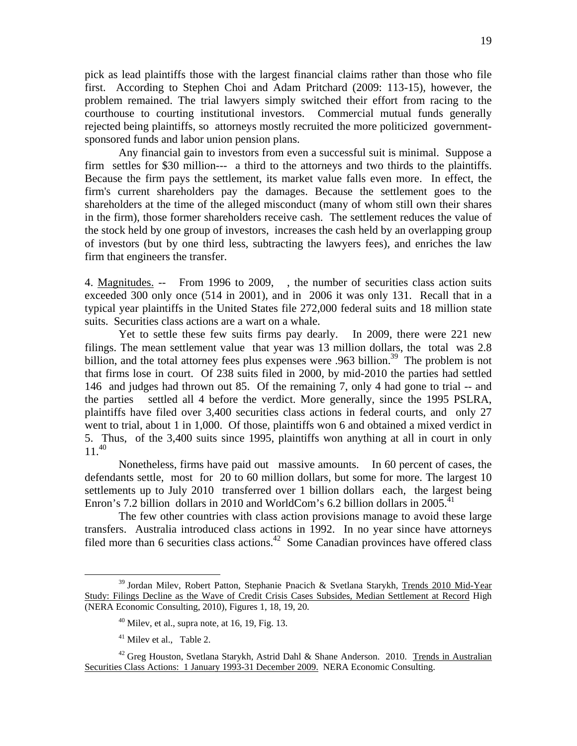pick as lead plaintiffs those with the largest financial claims rather than those who file first. According to Stephen Choi and Adam Pritchard (2009: 113-15), however, the problem remained. The trial lawyers simply switched their effort from racing to the courthouse to courting institutional investors. Commercial mutual funds generally rejected being plaintiffs, so attorneys mostly recruited the more politicized governmentsponsored funds and labor union pension plans.

 Any financial gain to investors from even a successful suit is minimal. Suppose a firm settles for \$30 million--- a third to the attorneys and two thirds to the plaintiffs. Because the firm pays the settlement, its market value falls even more. In effect, the firm's current shareholders pay the damages. Because the settlement goes to the shareholders at the time of the alleged misconduct (many of whom still own their shares in the firm), those former shareholders receive cash. The settlement reduces the value of the stock held by one group of investors, increases the cash held by an overlapping group of investors (but by one third less, subtracting the lawyers fees), and enriches the law firm that engineers the transfer.

4. Magnitudes. -- From 1996 to 2009, , the number of securities class action suits exceeded 300 only once (514 in 2001), and in 2006 it was only 131. Recall that in a typical year plaintiffs in the United States file 272,000 federal suits and 18 million state suits. Securities class actions are a wart on a whale.

 Yet to settle these few suits firms pay dearly. In 2009, there were 221 new filings. The mean settlement value that year was 13 million dollars, the total was 2.8 billion, and the total attorney fees plus expenses were .963 billion.<sup>39</sup> The problem is not that firms lose in court. Of 238 suits filed in 2000, by mid-2010 the parties had settled 146 and judges had thrown out 85. Of the remaining 7, only 4 had gone to trial -- and the parties settled all 4 before the verdict. More generally, since the 1995 PSLRA, plaintiffs have filed over 3,400 securities class actions in federal courts, and only 27 went to trial, about 1 in 1,000. Of those, plaintiffs won 6 and obtained a mixed verdict in 5. Thus, of the 3,400 suits since 1995, plaintiffs won anything at all in court in only 11.40

 Nonetheless, firms have paid out massive amounts. In 60 percent of cases, the defendants settle, most for 20 to 60 million dollars, but some for more. The largest 10 settlements up to July 2010 transferred over 1 billion dollars each, the largest being Enron's 7.2 billion dollars in 2010 and WorldCom's 6.2 billion dollars in 2005.<sup>41</sup>

 The few other countries with class action provisions manage to avoid these large transfers. Australia introduced class actions in 1992. In no year since have attorneys filed more than 6 securities class actions.<sup>42</sup> Some Canadian provinces have offered class

<sup>&</sup>lt;sup>39</sup> Jordan Milev, Robert Patton, Stephanie Pnacich & Svetlana Starykh, Trends 2010 Mid-Year Study: Filings Decline as the Wave of Credit Crisis Cases Subsides, Median Settlement at Record High (NERA Economic Consulting, 2010), Figures 1, 18, 19, 20.

 $40$  Milev, et al., supra note, at 16, 19, Fig. 13.

 $41$  Milev et al., Table 2.

<sup>&</sup>lt;sup>42</sup> Greg Houston, Svetlana Starykh, Astrid Dahl & Shane Anderson. 2010. Trends in Australian Securities Class Actions: 1 January 1993-31 December 2009. NERA Economic Consulting.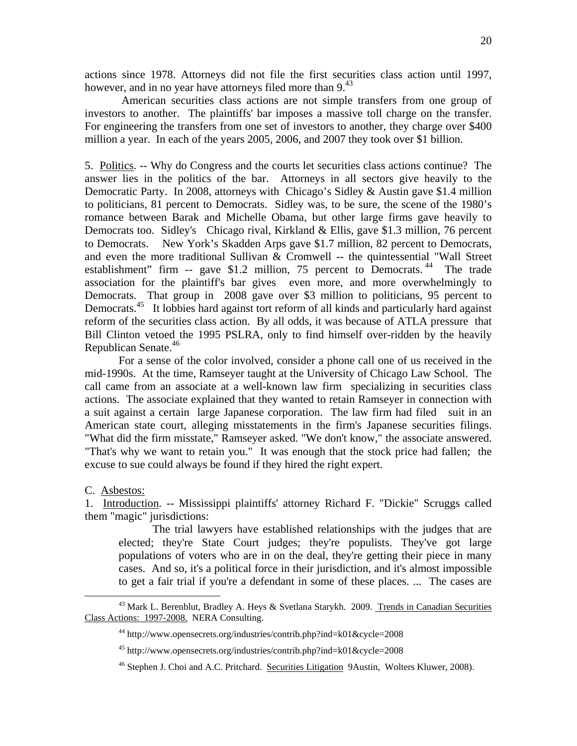actions since 1978. Attorneys did not file the first securities class action until 1997, however, and in no year have attorneys filed more than 9.<sup>43</sup>

 American securities class actions are not simple transfers from one group of investors to another. The plaintiffs' bar imposes a massive toll charge on the transfer. For engineering the transfers from one set of investors to another, they charge over \$400 million a year. In each of the years 2005, 2006, and 2007 they took over \$1 billion.

5. Politics. -- Why do Congress and the courts let securities class actions continue? The answer lies in the politics of the bar. Attorneys in all sectors give heavily to the Democratic Party. In 2008, attorneys with Chicago's Sidley & Austin gave \$1.4 million to politicians, 81 percent to Democrats. Sidley was, to be sure, the scene of the 1980's romance between Barak and Michelle Obama, but other large firms gave heavily to Democrats too. Sidley's Chicago rival, Kirkland & Ellis, gave \$1.3 million, 76 percent to Democrats. New York's Skadden Arps gave \$1.7 million, 82 percent to Democrats, and even the more traditional Sullivan & Cromwell -- the quintessential "Wall Street establishment" firm -- gave \$1.2 million, 75 percent to Democrats.<sup>44</sup> The trade association for the plaintiff's bar gives even more, and more overwhelmingly to Democrats. That group in 2008 gave over \$3 million to politicians, 95 percent to Democrats.<sup>45</sup> It lobbies hard against tort reform of all kinds and particularly hard against reform of the securities class action. By all odds, it was because of ATLA pressure that Bill Clinton vetoed the 1995 PSLRA, only to find himself over-ridden by the heavily Republican Senate.<sup>46</sup>

 For a sense of the color involved, consider a phone call one of us received in the mid-1990s. At the time, Ramseyer taught at the University of Chicago Law School. The call came from an associate at a well-known law firm specializing in securities class actions. The associate explained that they wanted to retain Ramseyer in connection with a suit against a certain large Japanese corporation. The law firm had filed suit in an American state court, alleging misstatements in the firm's Japanese securities filings. "What did the firm misstate," Ramseyer asked. "We don't know," the associate answered. "That's why we want to retain you." It was enough that the stock price had fallen; the excuse to sue could always be found if they hired the right expert.

C. Asbestos:

1. Introduction. -- Mississippi plaintiffs' attorney Richard F. "Dickie" Scruggs called them "magic" jurisdictions:

 The trial lawyers have established relationships with the judges that are elected; they're State Court judges; they're populists. They've got large populations of voters who are in on the deal, they're getting their piece in many cases. And so, it's a political force in their jurisdiction, and it's almost impossible to get a fair trial if you're a defendant in some of these places. ... The cases are

<sup>&</sup>lt;sup>43</sup> Mark L. Berenblut, Bradley A. Heys & Svetlana Starykh. 2009. Trends in Canadian Securities Class Actions: 1997-2008. NERA Consulting.

<sup>44</sup> http://www.opensecrets.org/industries/contrib.php?ind=k01&cycle=2008

<sup>45</sup> http://www.opensecrets.org/industries/contrib.php?ind=k01&cycle=2008

<sup>&</sup>lt;sup>46</sup> Stephen J. Choi and A.C. Pritchard. Securities Litigation 9Austin, Wolters Kluwer, 2008).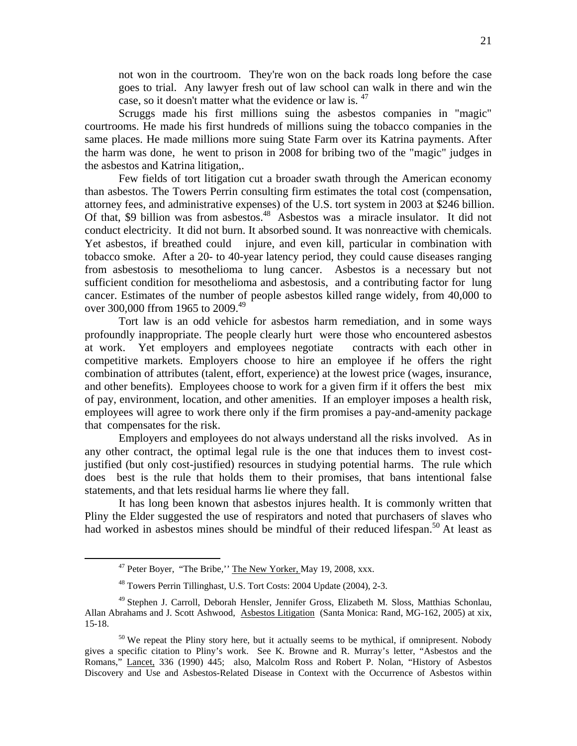not won in the courtroom. They're won on the back roads long before the case goes to trial. Any lawyer fresh out of law school can walk in there and win the case, so it doesn't matter what the evidence or law is. 47

 Scruggs made his first millions suing the asbestos companies in "magic" courtrooms. He made his first hundreds of millions suing the tobacco companies in the same places. He made millions more suing State Farm over its Katrina payments. After the harm was done, he went to prison in 2008 for bribing two of the "magic" judges in the asbestos and Katrina litigation,.

 Few fields of tort litigation cut a broader swath through the American economy than asbestos. The Towers Perrin consulting firm estimates the total cost (compensation, attorney fees, and administrative expenses) of the U.S. tort system in 2003 at \$246 billion. Of that, \$9 billion was from asbestos.<sup>48</sup> Asbestos was a miracle insulator. It did not conduct electricity. It did not burn. It absorbed sound. It was nonreactive with chemicals. Yet asbestos, if breathed could injure, and even kill, particular in combination with tobacco smoke. After a 20- to 40-year latency period, they could cause diseases ranging from asbestosis to mesothelioma to lung cancer. Asbestos is a necessary but not sufficient condition for mesothelioma and asbestosis, and a contributing factor for lung cancer. Estimates of the number of people asbestos killed range widely, from 40,000 to over 300,000 ffrom 1965 to 2009.<sup>49</sup>

 Tort law is an odd vehicle for asbestos harm remediation, and in some ways profoundly inappropriate. The people clearly hurt were those who encountered asbestos at work. Yet employers and employees negotiate contracts with each other in competitive markets. Employers choose to hire an employee if he offers the right combination of attributes (talent, effort, experience) at the lowest price (wages, insurance, and other benefits). Employees choose to work for a given firm if it offers the best mix of pay, environment, location, and other amenities. If an employer imposes a health risk, employees will agree to work there only if the firm promises a pay-and-amenity package that compensates for the risk.

 Employers and employees do not always understand all the risks involved. As in any other contract, the optimal legal rule is the one that induces them to invest costjustified (but only cost-justified) resources in studying potential harms. The rule which does best is the rule that holds them to their promises, that bans intentional false statements, and that lets residual harms lie where they fall.

 It has long been known that asbestos injures health. It is commonly written that Pliny the Elder suggested the use of respirators and noted that purchasers of slaves who had worked in asbestos mines should be mindful of their reduced lifespan.<sup>50</sup> At least as

 <sup>47</sup> Peter Boyer, "The Bribe,'' The New Yorker, May 19, 2008, xxx.

<sup>48</sup> Towers Perrin Tillinghast, U.S. Tort Costs: 2004 Update (2004), 2-3.

<sup>49</sup> Stephen J. Carroll, Deborah Hensler, Jennifer Gross, Elizabeth M. Sloss, Matthias Schonlau, Allan Abrahams and J. Scott Ashwood, Asbestos Litigation (Santa Monica: Rand, MG-162, 2005) at xix, 15-18.

 $50$  We repeat the Pliny story here, but it actually seems to be mythical, if omnipresent. Nobody gives a specific citation to Pliny's work. See K. Browne and R. Murray's letter, "Asbestos and the Romans," Lancet, 336 (1990) 445; also, Malcolm Ross and Robert P. Nolan, "History of Asbestos Discovery and Use and Asbestos-Related Disease in Context with the Occurrence of Asbestos within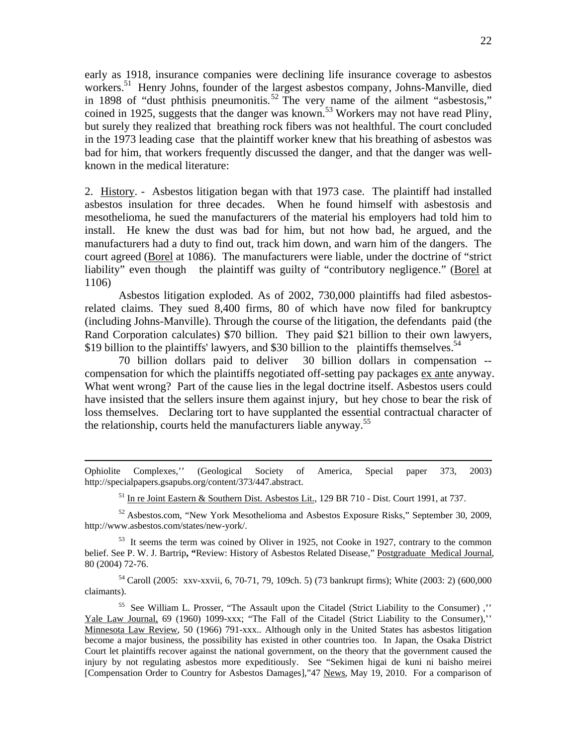early as 1918, insurance companies were declining life insurance coverage to asbestos workers.<sup>51</sup> Henry Johns, founder of the largest asbestos company, Johns-Manville, died in 1898 of "dust phthisis pneumonitis.<sup>52</sup> The very name of the ailment "asbestosis," coined in 1925, suggests that the danger was known.<sup>53</sup> Workers may not have read Pliny, but surely they realized that breathing rock fibers was not healthful. The court concluded in the 1973 leading case that the plaintiff worker knew that his breathing of asbestos was bad for him, that workers frequently discussed the danger, and that the danger was wellknown in the medical literature:

2. History. - Asbestos litigation began with that 1973 case. The plaintiff had installed asbestos insulation for three decades. When he found himself with asbestosis and mesothelioma, he sued the manufacturers of the material his employers had told him to install. He knew the dust was bad for him, but not how bad, he argued, and the manufacturers had a duty to find out, track him down, and warn him of the dangers. The court agreed (Borel at 1086). The manufacturers were liable, under the doctrine of "strict liability" even though the plaintiff was guilty of "contributory negligence." (Borel at 1106)

 Asbestos litigation exploded. As of 2002, 730,000 plaintiffs had filed asbestosrelated claims. They sued 8,400 firms, 80 of which have now filed for bankruptcy (including Johns-Manville). Through the course of the litigation, the defendants paid (the Rand Corporation calculates) \$70 billion. They paid \$21 billion to their own lawyers, \$19 billion to the plaintiffs' lawyers, and \$30 billion to the plaintiffs themselves.<sup>54</sup>

 70 billion dollars paid to deliver 30 billion dollars in compensation - compensation for which the plaintiffs negotiated off-setting pay packages ex ante anyway. What went wrong? Part of the cause lies in the legal doctrine itself. Asbestos users could have insisted that the sellers insure them against injury, but hey chose to bear the risk of loss themselves. Declaring tort to have supplanted the essential contractual character of the relationship, courts held the manufacturers liable anyway.<sup>55</sup>

 Ophiolite Complexes,'' (Geological Society of America, Special paper 373, 2003) http://specialpapers.gsapubs.org/content/373/447.abstract.

<sup>51</sup> In re Joint Eastern & Southern Dist. Asbestos Lit., 129 BR 710 - Dist. Court 1991, at 737.

52 Asbestos.com, "New York Mesothelioma and Asbestos Exposure Risks," September 30, 2009, http://www.asbestos.com/states/new-york/.

<sup>53</sup> It seems the term was coined by Oliver in 1925, not Cooke in 1927, contrary to the common belief. See P. W. J. Bartrip**, "**Review: History of Asbestos Related Disease," Postgraduate Medical Journal, 80 (2004) 72-76.

<sup>54</sup> Caroll (2005: xxv-xxvii, 6, 70-71, 79, 109ch. 5) (73 bankrupt firms); White (2003: 2) (600,000 claimants).

55 See William L. Prosser, "The Assault upon the Citadel (Strict Liability to the Consumer) ,'' Yale Law Journal, 69 (1960) 1099-xxx; "The Fall of the Citadel (Strict Liability to the Consumer),'' Minnesota Law Review, 50 (1966) 791-xxx.. Although only in the United States has asbestos litigation become a major business, the possibility has existed in other countries too. In Japan, the Osaka District Court let plaintiffs recover against the national government, on the theory that the government caused the injury by not regulating asbestos more expeditiously. See "Sekimen higai de kuni ni baisho meirei [Compensation Order to Country for Asbestos Damages],"47 News, May 19, 2010. For a comparison of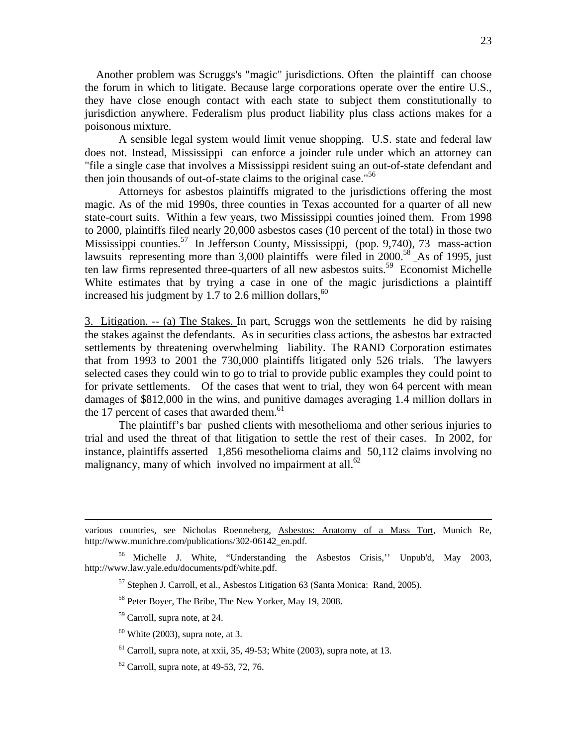Another problem was Scruggs's "magic" jurisdictions. Often the plaintiff can choose the forum in which to litigate. Because large corporations operate over the entire U.S., they have close enough contact with each state to subject them constitutionally to jurisdiction anywhere. Federalism plus product liability plus class actions makes for a poisonous mixture.

 A sensible legal system would limit venue shopping. U.S. state and federal law does not. Instead, Mississippi can enforce a joinder rule under which an attorney can "file a single case that involves a Mississippi resident suing an out-of-state defendant and then join thousands of out-of-state claims to the original case."<sup>56</sup>

 Attorneys for asbestos plaintiffs migrated to the jurisdictions offering the most magic. As of the mid 1990s, three counties in Texas accounted for a quarter of all new state-court suits. Within a few years, two Mississippi counties joined them. From 1998 to 2000, plaintiffs filed nearly 20,000 asbestos cases (10 percent of the total) in those two Mississippi counties.<sup>57</sup> In Jefferson County, Mississippi, (pop. 9,740), 73 mass-action lawsuits representing more than 3,000 plaintiffs were filed in  $2000$ .<sup>58</sup> As of 1995, just ten law firms represented three-quarters of all new asbestos suits.<sup>59</sup> Economist Michelle White estimates that by trying a case in one of the magic jurisdictions a plaintiff increased his judgment by 1.7 to 2.6 million dollars,  $60$ 

3. Litigation. -- (a) The Stakes. In part, Scruggs won the settlements he did by raising the stakes against the defendants. As in securities class actions, the asbestos bar extracted settlements by threatening overwhelming liability. The RAND Corporation estimates that from 1993 to 2001 the 730,000 plaintiffs litigated only 526 trials. The lawyers selected cases they could win to go to trial to provide public examples they could point to for private settlements. Of the cases that went to trial, they won 64 percent with mean damages of \$812,000 in the wins, and punitive damages averaging 1.4 million dollars in the 17 percent of cases that awarded them.<sup>61</sup>

 The plaintiff's bar pushed clients with mesothelioma and other serious injuries to trial and used the threat of that litigation to settle the rest of their cases. In 2002, for instance, plaintiffs asserted 1,856 mesothelioma claims and 50,112 claims involving no malignancy, many of which involved no impairment at all.<sup>62</sup>

 $60$  White (2003), supra note, at 3.

various countries, see Nicholas Roenneberg, Asbestos: Anatomy of a Mass Tort, Munich Re, http://www.munichre.com/publications/302-06142\_en.pdf.

<sup>56</sup> Michelle J. White, "Understanding the Asbestos Crisis,'' Unpub'd, May 2003, http://www.law.yale.edu/documents/pdf/white.pdf.

<sup>57</sup> Stephen J. Carroll, et al., Asbestos Litigation 63 (Santa Monica: Rand, 2005).

<sup>58</sup> Peter Boyer, The Bribe, The New Yorker, May 19, 2008.

<sup>59</sup> Carroll, supra note, at 24.

 $<sup>61</sup>$  Carroll, supra note, at xxii, 35, 49-53; White (2003), supra note, at 13.</sup>

 $62$  Carroll, supra note, at 49-53, 72, 76.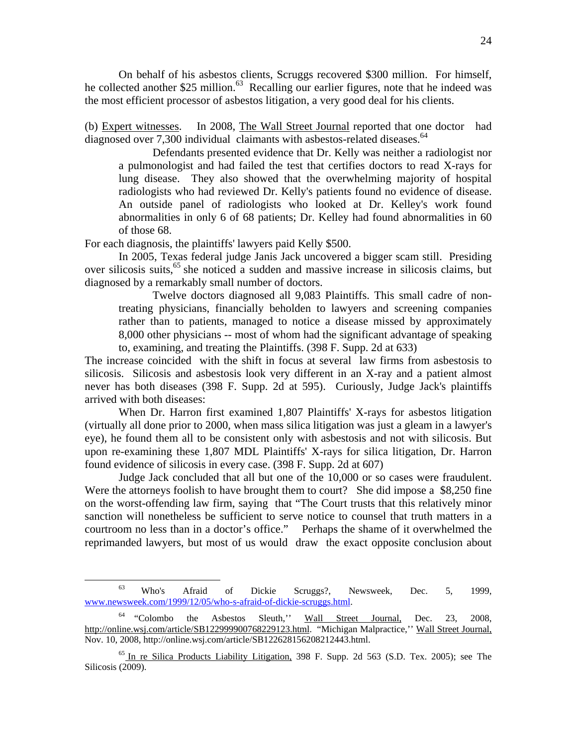On behalf of his asbestos clients, Scruggs recovered \$300 million. For himself, he collected another \$25 million.<sup>63</sup> Recalling our earlier figures, note that he indeed was the most efficient processor of asbestos litigation, a very good deal for his clients.

(b) Expert witnesses. In 2008, The Wall Street Journal reported that one doctor had diagnosed over 7,300 individual claimants with asbestos-related diseases.<sup>64</sup>

 Defendants presented evidence that Dr. Kelly was neither a radiologist nor a pulmonologist and had failed the test that certifies doctors to read X-rays for lung disease. They also showed that the overwhelming majority of hospital radiologists who had reviewed Dr. Kelly's patients found no evidence of disease. An outside panel of radiologists who looked at Dr. Kelley's work found abnormalities in only 6 of 68 patients; Dr. Kelley had found abnormalities in 60 of those 68.

For each diagnosis, the plaintiffs' lawyers paid Kelly \$500.

 In 2005, Texas federal judge Janis Jack uncovered a bigger scam still. Presiding over silicosis suits,<sup>65</sup> she noticed a sudden and massive increase in silicosis claims, but diagnosed by a remarkably small number of doctors.

 Twelve doctors diagnosed all 9,083 Plaintiffs. This small cadre of nontreating physicians, financially beholden to lawyers and screening companies rather than to patients, managed to notice a disease missed by approximately 8,000 other physicians -- most of whom had the significant advantage of speaking to, examining, and treating the Plaintiffs. (398 F. Supp. 2d at 633)

The increase coincided with the shift in focus at several law firms from asbestosis to silicosis. Silicosis and asbestosis look very different in an X-ray and a patient almost never has both diseases (398 F. Supp. 2d at 595). Curiously, Judge Jack's plaintiffs arrived with both diseases:

 When Dr. Harron first examined 1,807 Plaintiffs' X-rays for asbestos litigation (virtually all done prior to 2000, when mass silica litigation was just a gleam in a lawyer's eye), he found them all to be consistent only with asbestosis and not with silicosis. But upon re-examining these 1,807 MDL Plaintiffs' X-rays for silica litigation, Dr. Harron found evidence of silicosis in every case. (398 F. Supp. 2d at 607)

 Judge Jack concluded that all but one of the 10,000 or so cases were fraudulent. Were the attorneys foolish to have brought them to court? She did impose a \$8,250 fine on the worst-offending law firm, saying that "The Court trusts that this relatively minor sanction will nonetheless be sufficient to serve notice to counsel that truth matters in a courtroom no less than in a doctor's office." Perhaps the shame of it overwhelmed the reprimanded lawyers, but most of us would draw the exact opposite conclusion about

<sup>&</sup>lt;sup>63</sup> Who's Afraid of Dickie Scruggs?, Newsweek, Dec. 5, 1999, www.newsweek.com/1999/12/05/who-s-afraid-of-dickie-scruggs.html.

<sup>&</sup>lt;sup>64</sup> "Colombo the Asbestos Sleuth," Wall Street Journal, Dec. 23, 2008, http://online.wsj.com/article/SB122999900768229123.html. "Michigan Malpractice,'' Wall Street Journal, Nov. 10, 2008, http://online.wsj.com/article/SB122628156208212443.html.

 $65$  In re Silica Products Liability Litigation, 398 F. Supp. 2d 563 (S.D. Tex. 2005); see The Silicosis (2009).